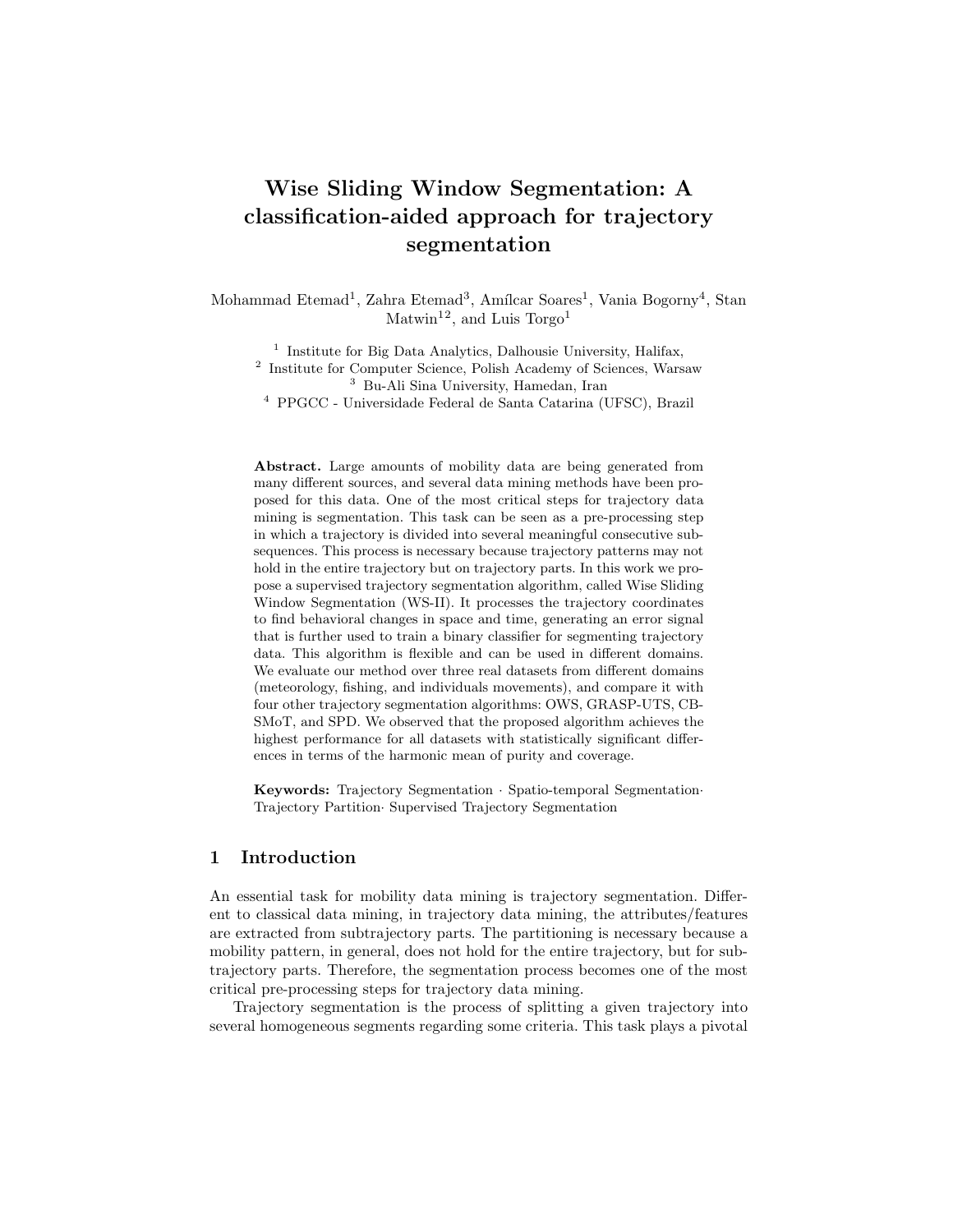# Wise Sliding Window Segmentation: A classification-aided approach for trajectory segmentation

Mohammad Etemad<sup>1</sup>, Zahra Etemad<sup>3</sup>, Amílcar Soares<sup>1</sup>, Vania Bogorny<sup>4</sup>, Stan Matwin<sup>12</sup>, and Luis Torgo<sup>1</sup>

<sup>1</sup> Institute for Big Data Analytics, Dalhousie University, Halifax, <sup>2</sup> Institute for Computer Science, Polish Academy of Sciences, Warsaw <sup>3</sup> Bu-Ali Sina University, Hamedan, Iran

<sup>4</sup> PPGCC - Universidade Federal de Santa Catarina (UFSC), Brazil

Abstract. Large amounts of mobility data are being generated from many different sources, and several data mining methods have been proposed for this data. One of the most critical steps for trajectory data mining is segmentation. This task can be seen as a pre-processing step in which a trajectory is divided into several meaningful consecutive subsequences. This process is necessary because trajectory patterns may not hold in the entire trajectory but on trajectory parts. In this work we propose a supervised trajectory segmentation algorithm, called Wise Sliding Window Segmentation (WS-II). It processes the trajectory coordinates to find behavioral changes in space and time, generating an error signal that is further used to train a binary classifier for segmenting trajectory data. This algorithm is flexible and can be used in different domains. We evaluate our method over three real datasets from different domains (meteorology, fishing, and individuals movements), and compare it with four other trajectory segmentation algorithms: OWS, GRASP-UTS, CB-SMoT, and SPD. We observed that the proposed algorithm achieves the highest performance for all datasets with statistically significant differences in terms of the harmonic mean of purity and coverage.

Keywords: Trajectory Segmentation · Spatio-temporal Segmentation· Trajectory Partition· Supervised Trajectory Segmentation

## 1 Introduction

An essential task for mobility data mining is trajectory segmentation. Different to classical data mining, in trajectory data mining, the attributes/features are extracted from subtrajectory parts. The partitioning is necessary because a mobility pattern, in general, does not hold for the entire trajectory, but for subtrajectory parts. Therefore, the segmentation process becomes one of the most critical pre-processing steps for trajectory data mining.

Trajectory segmentation is the process of splitting a given trajectory into several homogeneous segments regarding some criteria. This task plays a pivotal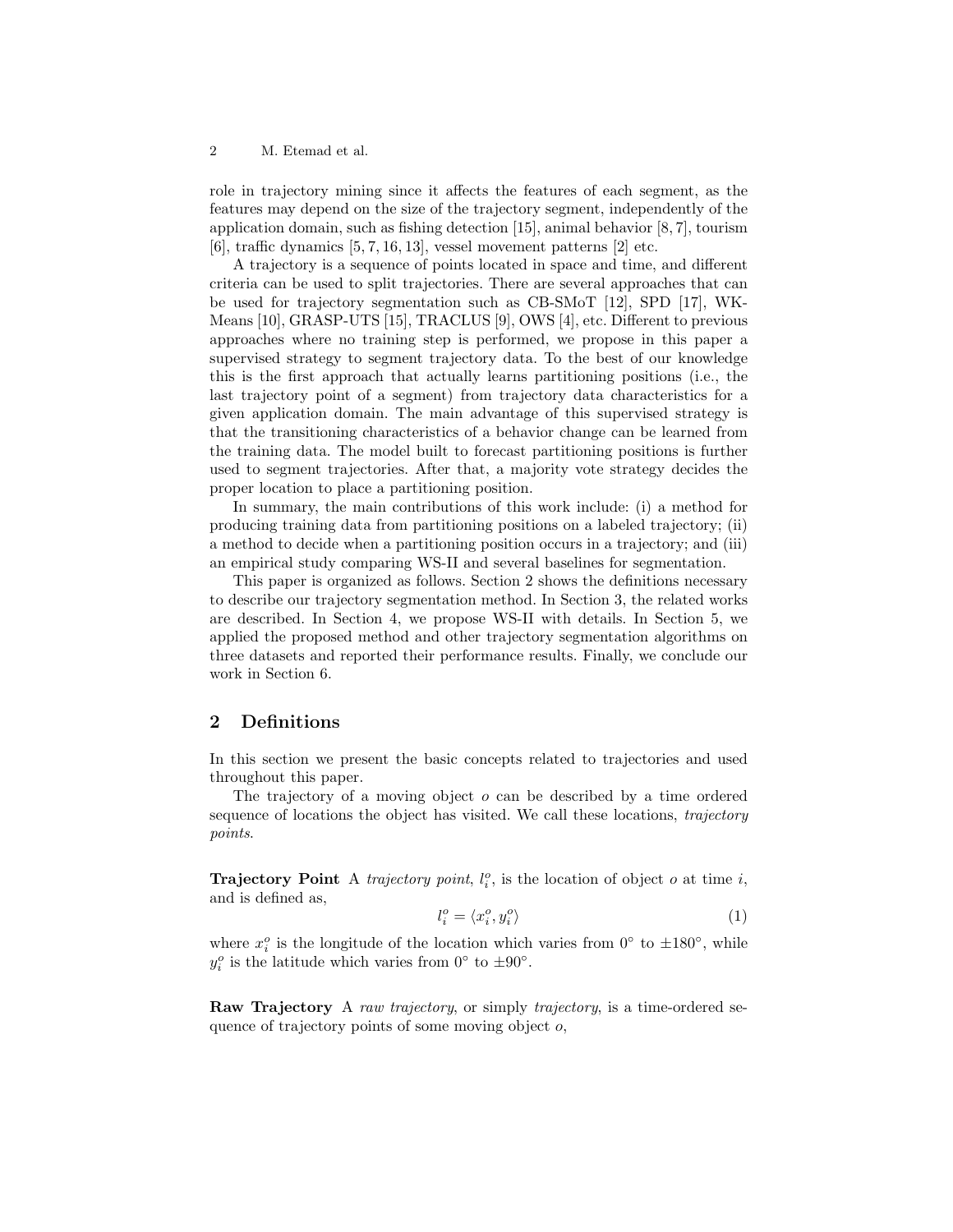role in trajectory mining since it affects the features of each segment, as the features may depend on the size of the trajectory segment, independently of the application domain, such as fishing detection [15], animal behavior [8, 7], tourism  $[6]$ , traffic dynamics  $[5, 7, 16, 13]$ , vessel movement patterns  $[2]$  etc.

A trajectory is a sequence of points located in space and time, and different criteria can be used to split trajectories. There are several approaches that can be used for trajectory segmentation such as CB-SMoT [12], SPD [17], WK-Means [10], GRASP-UTS [15], TRACLUS [9], OWS [4], etc. Different to previous approaches where no training step is performed, we propose in this paper a supervised strategy to segment trajectory data. To the best of our knowledge this is the first approach that actually learns partitioning positions (i.e., the last trajectory point of a segment) from trajectory data characteristics for a given application domain. The main advantage of this supervised strategy is that the transitioning characteristics of a behavior change can be learned from the training data. The model built to forecast partitioning positions is further used to segment trajectories. After that, a majority vote strategy decides the proper location to place a partitioning position.

In summary, the main contributions of this work include: (i) a method for producing training data from partitioning positions on a labeled trajectory; (ii) a method to decide when a partitioning position occurs in a trajectory; and (iii) an empirical study comparing WS-II and several baselines for segmentation.

This paper is organized as follows. Section 2 shows the definitions necessary to describe our trajectory segmentation method. In Section 3, the related works are described. In Section 4, we propose WS-II with details. In Section 5, we applied the proposed method and other trajectory segmentation algorithms on three datasets and reported their performance results. Finally, we conclude our work in Section 6.

## 2 Definitions

In this section we present the basic concepts related to trajectories and used throughout this paper.

The trajectory of a moving object  $o$  can be described by a time ordered sequence of locations the object has visited. We call these locations, trajectory points.

**Trajectory Point** A trajectory point,  $l_i^o$ , is the location of object o at time i, and is defined as,

$$
l_i^o = \langle x_i^o, y_i^o \rangle \tag{1}
$$

where  $x_i^o$  is the longitude of the location which varies from  $0°$  to  $\pm 180°$ , while  $y_i^o$  is the latitude which varies from  $0°$  to  $\pm 90°$ .

Raw Trajectory A raw trajectory, or simply trajectory, is a time-ordered sequence of trajectory points of some moving object  $o$ ,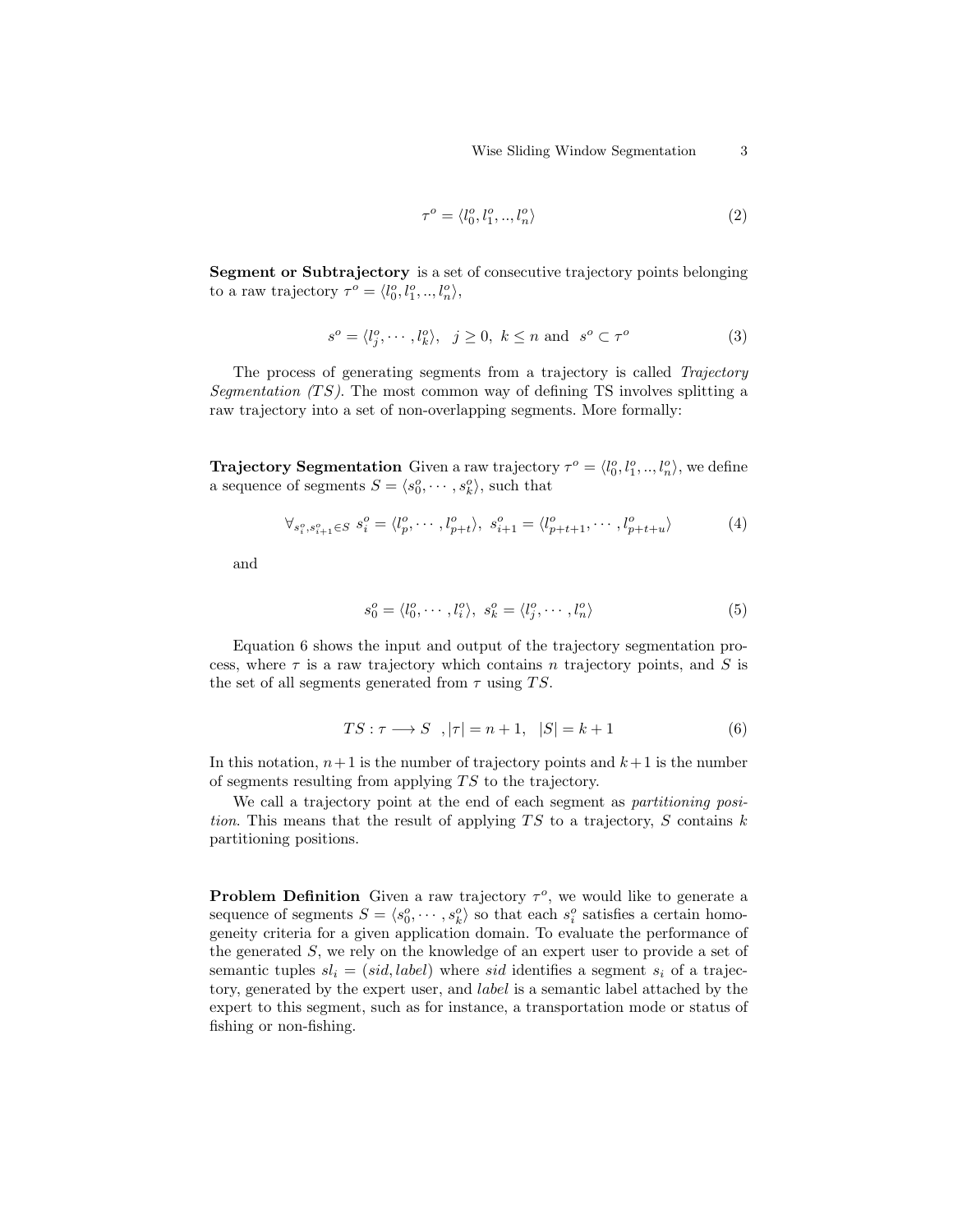$$
\tau^o = \langle l_0^o, l_1^o, \dots, l_n^o \rangle \tag{2}
$$

Segment or Subtrajectory is a set of consecutive trajectory points belonging to a raw trajectory  $\tau^o = \langle l_0^o, l_1^o, ..., l_n^o \rangle$ ,

$$
s^{o} = \langle l_j^{o}, \cdots, l_k^{o} \rangle, \quad j \ge 0, \ k \le n \ \text{and} \ s^{o} \subset \tau^{o}
$$
 (3)

The process of generating segments from a trajectory is called Trajectory Segmentation  $(TS)$ . The most common way of defining TS involves splitting a raw trajectory into a set of non-overlapping segments. More formally:

**Trajectory Segmentation** Given a raw trajectory  $\tau^o = \langle l_0^o, l_1^o, ..., l_n^o \rangle$ , we define a sequence of segments  $S = \langle s_0^o, \cdots, s_k^o \rangle$ , such that

$$
\forall_{s_i^o, s_{i+1}^o \in S} s_i^o = \langle l_p^o, \cdots, l_{p+t}^o \rangle, \ s_{i+1}^o = \langle l_{p+t+1}^o, \cdots, l_{p+t+u}^o \rangle \tag{4}
$$

and

$$
s_0^o = \langle l_0^o, \cdots, l_i^o \rangle, \ s_k^o = \langle l_j^o, \cdots, l_n^o \rangle \tag{5}
$$

Equation 6 shows the input and output of the trajectory segmentation process, where  $\tau$  is a raw trajectory which contains n trajectory points, and S is the set of all segments generated from  $\tau$  using TS.

$$
TS: \tau \longrightarrow S \quad |\tau| = n+1, \quad |S| = k+1 \tag{6}
$$

In this notation,  $n+1$  is the number of trajectory points and  $k+1$  is the number of segments resulting from applying  $TS$  to the trajectory.

We call a trajectory point at the end of each segment as *partitioning posi*tion. This means that the result of applying  $TS$  to a trajectory,  $S$  contains  $k$ partitioning positions.

**Problem Definition** Given a raw trajectory  $\tau^o$ , we would like to generate a sequence of segments  $S = \langle s_0^o, \dots, s_k^o \rangle$  so that each  $s_i^o$  satisfies a certain homogeneity criteria for a given application domain. To evaluate the performance of the generated S, we rely on the knowledge of an expert user to provide a set of semantic tuples  $sl_i = (sid, label)$  where sid identifies a segment  $s_i$  of a trajectory, generated by the expert user, and label is a semantic label attached by the expert to this segment, such as for instance, a transportation mode or status of fishing or non-fishing.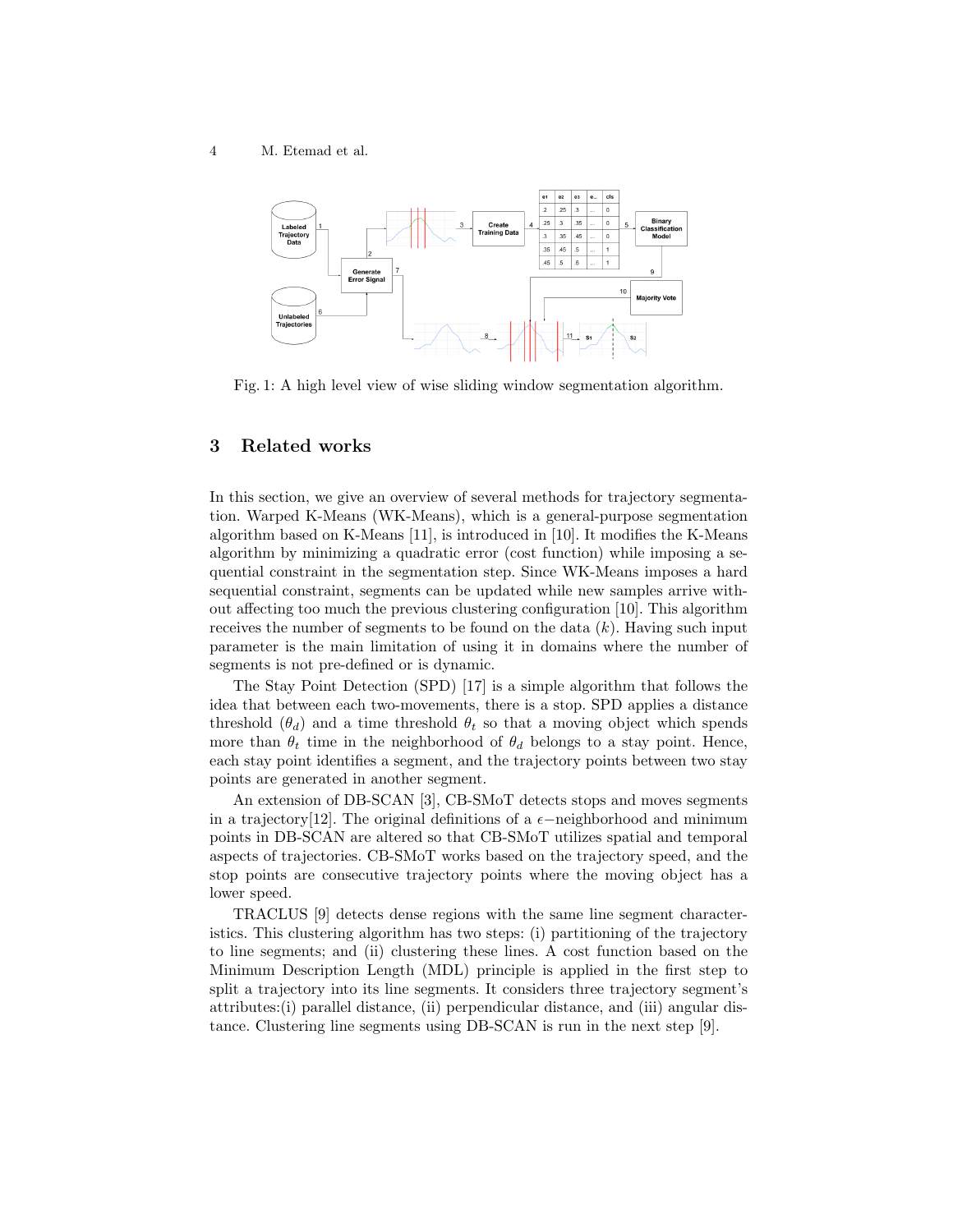

Fig. 1: A high level view of wise sliding window segmentation algorithm.

# 3 Related works

In this section, we give an overview of several methods for trajectory segmentation. Warped K-Means (WK-Means), which is a general-purpose segmentation algorithm based on K-Means [11], is introduced in [10]. It modifies the K-Means algorithm by minimizing a quadratic error (cost function) while imposing a sequential constraint in the segmentation step. Since WK-Means imposes a hard sequential constraint, segments can be updated while new samples arrive without affecting too much the previous clustering configuration [10]. This algorithm receives the number of segments to be found on the data  $(k)$ . Having such input parameter is the main limitation of using it in domains where the number of segments is not pre-defined or is dynamic.

The Stay Point Detection (SPD) [17] is a simple algorithm that follows the idea that between each two-movements, there is a stop. SPD applies a distance threshold  $(\theta_d)$  and a time threshold  $\theta_t$  so that a moving object which spends more than  $\theta_t$  time in the neighborhood of  $\theta_d$  belongs to a stay point. Hence, each stay point identifies a segment, and the trajectory points between two stay points are generated in another segment.

An extension of DB-SCAN [3], CB-SMoT detects stops and moves segments in a trajectory[12]. The original definitions of a  $\epsilon$ -neighborhood and minimum points in DB-SCAN are altered so that CB-SMoT utilizes spatial and temporal aspects of trajectories. CB-SMoT works based on the trajectory speed, and the stop points are consecutive trajectory points where the moving object has a lower speed.

TRACLUS [9] detects dense regions with the same line segment characteristics. This clustering algorithm has two steps: (i) partitioning of the trajectory to line segments; and (ii) clustering these lines. A cost function based on the Minimum Description Length (MDL) principle is applied in the first step to split a trajectory into its line segments. It considers three trajectory segment's attributes:(i) parallel distance, (ii) perpendicular distance, and (iii) angular distance. Clustering line segments using DB-SCAN is run in the next step [9].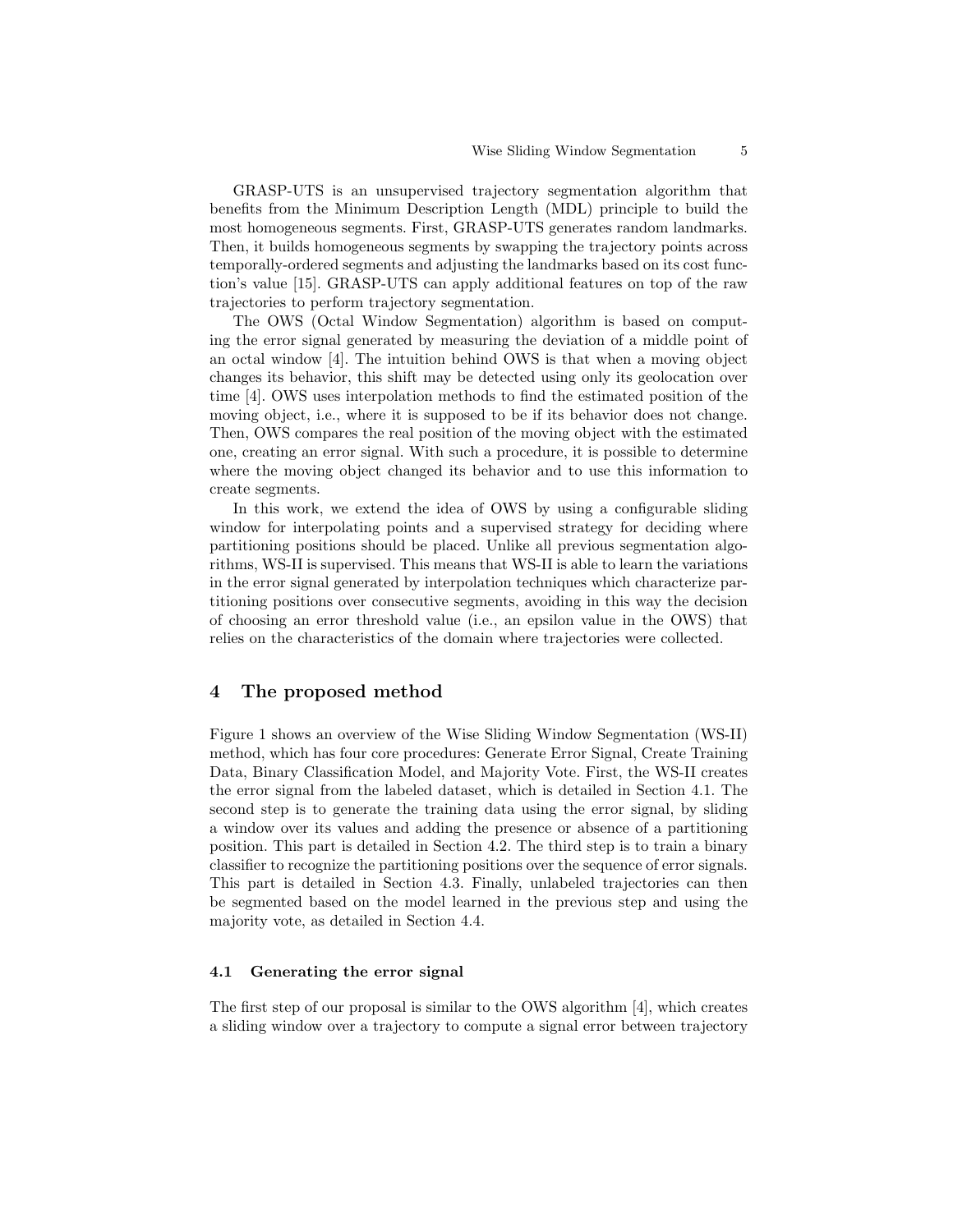GRASP-UTS is an unsupervised trajectory segmentation algorithm that benefits from the Minimum Description Length (MDL) principle to build the most homogeneous segments. First, GRASP-UTS generates random landmarks. Then, it builds homogeneous segments by swapping the trajectory points across temporally-ordered segments and adjusting the landmarks based on its cost function's value [15]. GRASP-UTS can apply additional features on top of the raw trajectories to perform trajectory segmentation.

The OWS (Octal Window Segmentation) algorithm is based on computing the error signal generated by measuring the deviation of a middle point of an octal window [4]. The intuition behind OWS is that when a moving object changes its behavior, this shift may be detected using only its geolocation over time [4]. OWS uses interpolation methods to find the estimated position of the moving object, i.e., where it is supposed to be if its behavior does not change. Then, OWS compares the real position of the moving object with the estimated one, creating an error signal. With such a procedure, it is possible to determine where the moving object changed its behavior and to use this information to create segments.

In this work, we extend the idea of OWS by using a configurable sliding window for interpolating points and a supervised strategy for deciding where partitioning positions should be placed. Unlike all previous segmentation algorithms, WS-II is supervised. This means that WS-II is able to learn the variations in the error signal generated by interpolation techniques which characterize partitioning positions over consecutive segments, avoiding in this way the decision of choosing an error threshold value (i.e., an epsilon value in the OWS) that relies on the characteristics of the domain where trajectories were collected.

## 4 The proposed method

Figure 1 shows an overview of the Wise Sliding Window Segmentation (WS-II) method, which has four core procedures: Generate Error Signal, Create Training Data, Binary Classification Model, and Majority Vote. First, the WS-II creates the error signal from the labeled dataset, which is detailed in Section 4.1. The second step is to generate the training data using the error signal, by sliding a window over its values and adding the presence or absence of a partitioning position. This part is detailed in Section 4.2. The third step is to train a binary classifier to recognize the partitioning positions over the sequence of error signals. This part is detailed in Section 4.3. Finally, unlabeled trajectories can then be segmented based on the model learned in the previous step and using the majority vote, as detailed in Section 4.4.

#### 4.1 Generating the error signal

The first step of our proposal is similar to the OWS algorithm [4], which creates a sliding window over a trajectory to compute a signal error between trajectory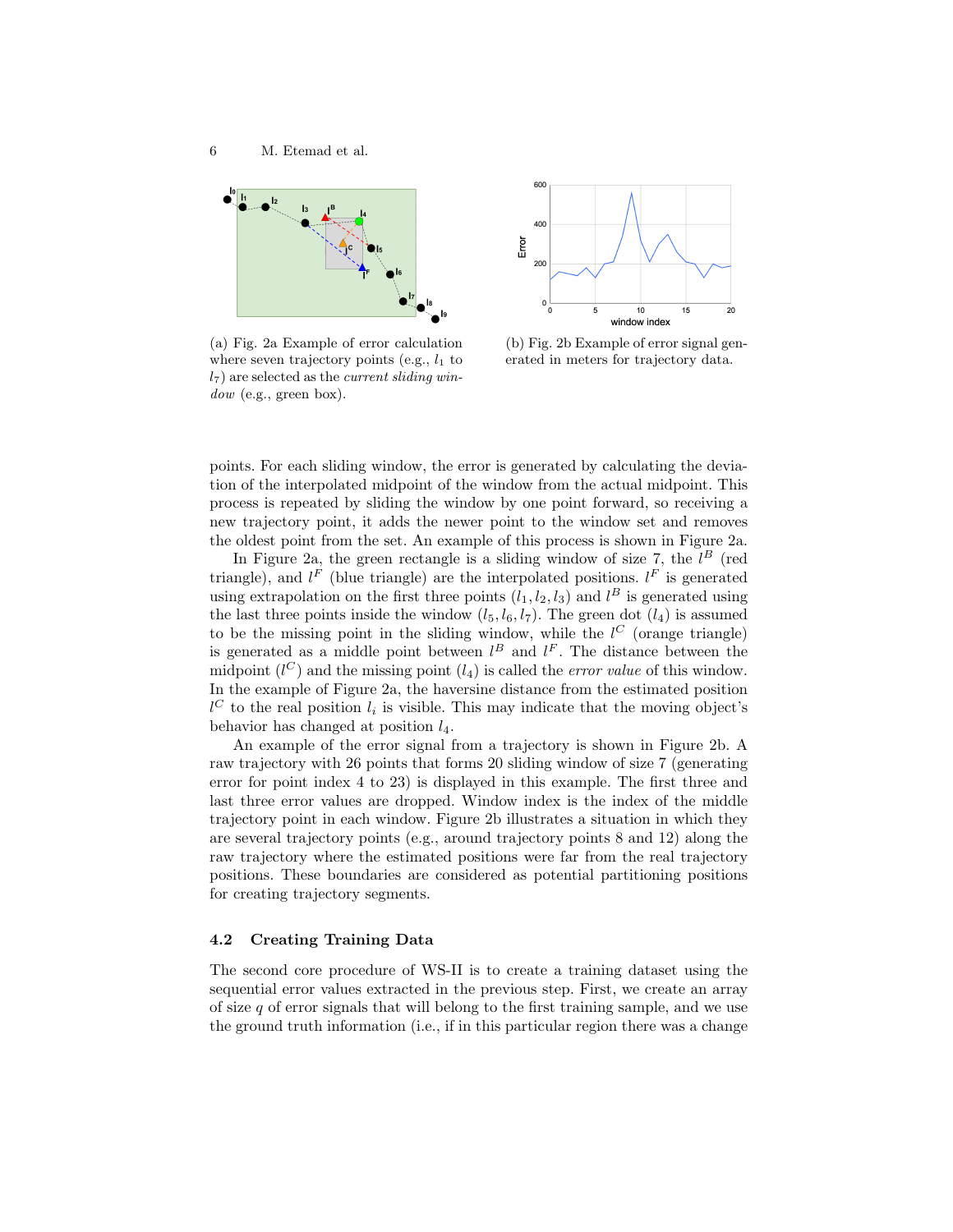

(a) Fig. 2a Example of error calculation where seven trajectory points (e.g.,  $l_1$  to  $l_7$ ) are selected as the *current sliding win*dow (e.g., green box).



(b) Fig. 2b Example of error signal generated in meters for trajectory data.

points. For each sliding window, the error is generated by calculating the deviation of the interpolated midpoint of the window from the actual midpoint. This process is repeated by sliding the window by one point forward, so receiving a new trajectory point, it adds the newer point to the window set and removes the oldest point from the set. An example of this process is shown in Figure 2a.

In Figure 2a, the green rectangle is a sliding window of size 7, the  $l^B$  (red triangle), and  $l^F$  (blue triangle) are the interpolated positions.  $l^F$  is generated using extrapolation on the first three points  $(l_1, l_2, l_3)$  and  $l^B$  is generated using the last three points inside the window  $(l_5, l_6, l_7)$ . The green dot  $(l_4)$  is assumed to be the missing point in the sliding window, while the  $l^C$  (orange triangle) is generated as a middle point between  $l^B$  and  $l^F$ . The distance between the midpoint  $(l^C)$  and the missing point  $(l_4)$  is called the *error value* of this window. In the example of Figure 2a, the haversine distance from the estimated position  $l^C$  to the real position  $l_i$  is visible. This may indicate that the moving object's behavior has changed at position  $l_4$ .

An example of the error signal from a trajectory is shown in Figure 2b. A raw trajectory with 26 points that forms 20 sliding window of size 7 (generating error for point index 4 to 23) is displayed in this example. The first three and last three error values are dropped. Window index is the index of the middle trajectory point in each window. Figure 2b illustrates a situation in which they are several trajectory points (e.g., around trajectory points 8 and 12) along the raw trajectory where the estimated positions were far from the real trajectory positions. These boundaries are considered as potential partitioning positions for creating trajectory segments.

#### 4.2 Creating Training Data

The second core procedure of WS-II is to create a training dataset using the sequential error values extracted in the previous step. First, we create an array of size  $q$  of error signals that will belong to the first training sample, and we use the ground truth information (i.e., if in this particular region there was a change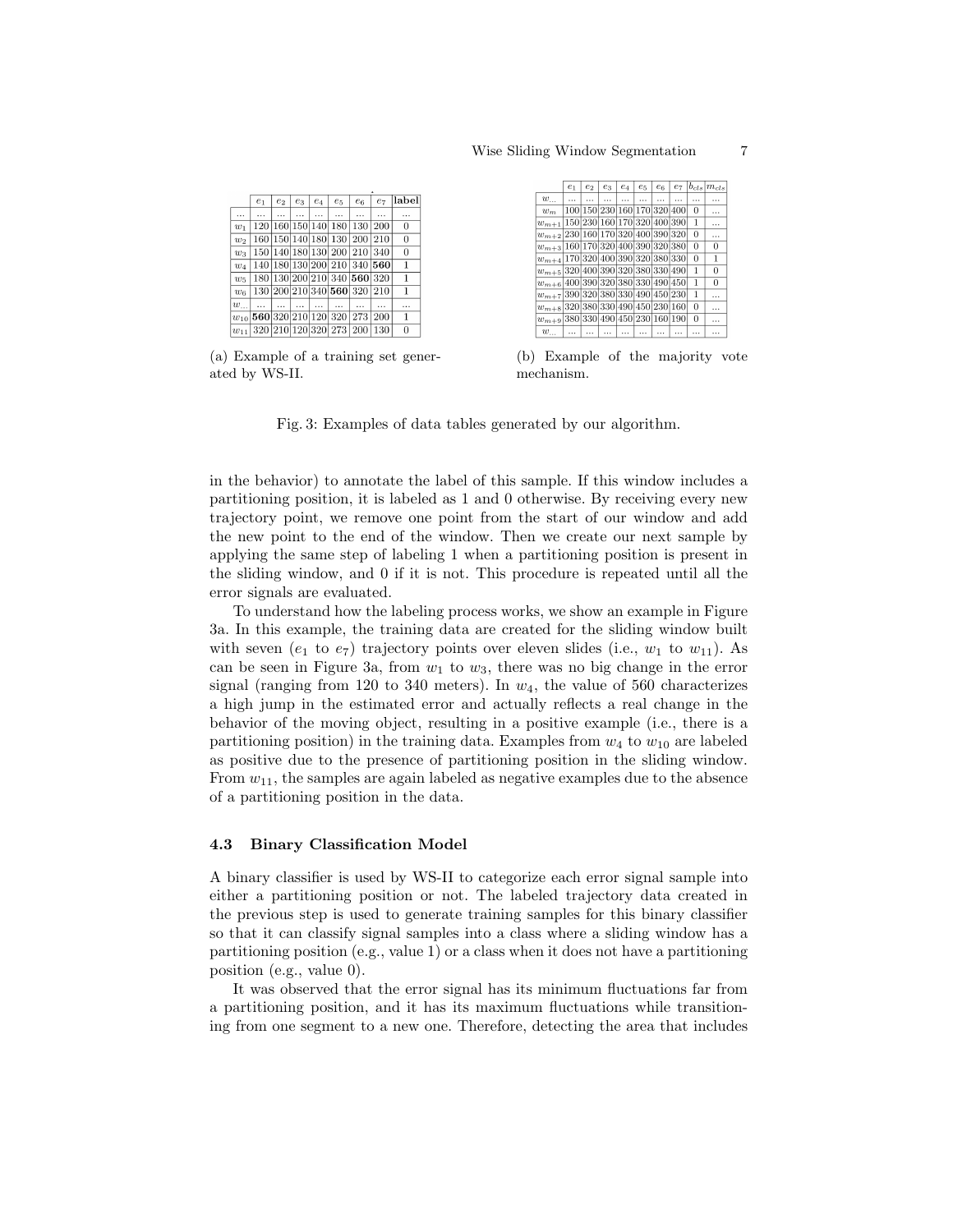|                | e <sub>1</sub>  | e <sub>2</sub>              | $e_3$ | $e_4$       | $e_5$                       | $e_6$     | $e_7$   | label    |  |  |
|----------------|-----------------|-----------------------------|-------|-------------|-----------------------------|-----------|---------|----------|--|--|
| .              |                 |                             |       | .           | .                           | $\cdot$ . | .       | .        |  |  |
| $w_1$          |                 | 120   160   150   140   180 |       |             |                             | 130       | 200     | $\theta$ |  |  |
| $w_2$          | 160             |                             |       | 150 140 180 | 130                         | 200       | 210     | $\theta$ |  |  |
| $w_3$          |                 | 150 140 180 130             |       |             | 200                         | 210       | 340     | $\theta$ |  |  |
| $w_4$          |                 |                             |       |             | 140   180   130   200   210 |           | 340 560 | 1        |  |  |
| w <sub>5</sub> | 180             |                             |       |             | 130 200 210 340             | 560       | 320     | 1        |  |  |
| w <sub>6</sub> |                 |                             |       |             | 130 200 210 340 560         | 320       | 210     | 1        |  |  |
| $w_{\ldots}$   | .               |                             |       | .           | .                           | .         | .       | .        |  |  |
| $w_{10}$       | 560 320 210 120 |                             |       |             | 320                         | 273       | 200     | 1        |  |  |
| $w_{11}$       |                 |                             |       |             | 320 210 120 320 273         | 200       | 130     | 0        |  |  |

(a) Example of a training set generated by WS-II.

|              | e <sub>1</sub> | $e_2$    | $e_3$                       | $e_4$    | $e_5$    | $e_6$    | $e_7$                       | $ b_{cls} $ | $m_{cls}$ |
|--------------|----------------|----------|-----------------------------|----------|----------|----------|-----------------------------|-------------|-----------|
| $w_{\ldots}$ | $\cdots$       | $\cdots$ | $\cdots$                    | $\cdots$ | $\cdots$ | $\cdots$ | .                           | $\cdots$    | .         |
| $w_m$        | 100            |          |                             |          |          |          | 150 230 160 170 320 400     | 0           | .         |
| $v_{m+1}$    |                |          | 150 230 160 170 320 400 390 |          |          |          |                             | 1           | .         |
| $v_{m+2}$    |                |          | 230 160 170 320 400 390 320 |          |          |          |                             | 0           | .         |
| $v_{m+3}$    |                |          | 160 170 320 400 390 320 380 |          |          |          |                             | $\theta$    | 0         |
| $v_{m+4}$    |                |          |                             |          |          |          | 170 320 400 390 320 380 330 | $\theta$    | 1         |
| $v_{m+5}$    |                |          |                             |          |          |          | 320 400 390 320 380 330 490 | 1           | $\theta$  |
| $v_{m+6}$    |                |          | 400 390 320 380 330 490 450 |          |          |          |                             | 1           | 0         |
| $v_{m+7}$    |                |          | 390 320 380 330 490 450 230 |          |          |          |                             | 1           | .         |
| $v_{m+8}$    |                |          | 320 380 330 490 450 230 160 |          |          |          |                             | 0           | .         |
| $v_{m+9}$    |                |          |                             |          |          |          | 380 330 490 450 230 160 190 | 0           | .         |
| $w_{\cdots}$ | $\cdots$       |          |                             | $\cdots$ | $\cdots$ | $\cdots$ | .                           | .           | $\cdots$  |

(b) Example of the majority vote mechanism.

Fig. 3: Examples of data tables generated by our algorithm.

in the behavior) to annotate the label of this sample. If this window includes a partitioning position, it is labeled as 1 and 0 otherwise. By receiving every new trajectory point, we remove one point from the start of our window and add the new point to the end of the window. Then we create our next sample by applying the same step of labeling 1 when a partitioning position is present in the sliding window, and 0 if it is not. This procedure is repeated until all the error signals are evaluated.

To understand how the labeling process works, we show an example in Figure 3a. In this example, the training data are created for the sliding window built with seven ( $e_1$  to  $e_7$ ) trajectory points over eleven slides (i.e.,  $w_1$  to  $w_{11}$ ). As can be seen in Figure 3a, from  $w_1$  to  $w_3$ , there was no big change in the error signal (ranging from 120 to 340 meters). In  $w_4$ , the value of 560 characterizes a high jump in the estimated error and actually reflects a real change in the behavior of the moving object, resulting in a positive example (i.e., there is a partitioning position) in the training data. Examples from  $w_4$  to  $w_{10}$  are labeled as positive due to the presence of partitioning position in the sliding window. From  $w_{11}$ , the samples are again labeled as negative examples due to the absence of a partitioning position in the data.

#### 4.3 Binary Classification Model

A binary classifier is used by WS-II to categorize each error signal sample into either a partitioning position or not. The labeled trajectory data created in the previous step is used to generate training samples for this binary classifier so that it can classify signal samples into a class where a sliding window has a partitioning position (e.g., value 1) or a class when it does not have a partitioning position (e.g., value 0).

It was observed that the error signal has its minimum fluctuations far from a partitioning position, and it has its maximum fluctuations while transitioning from one segment to a new one. Therefore, detecting the area that includes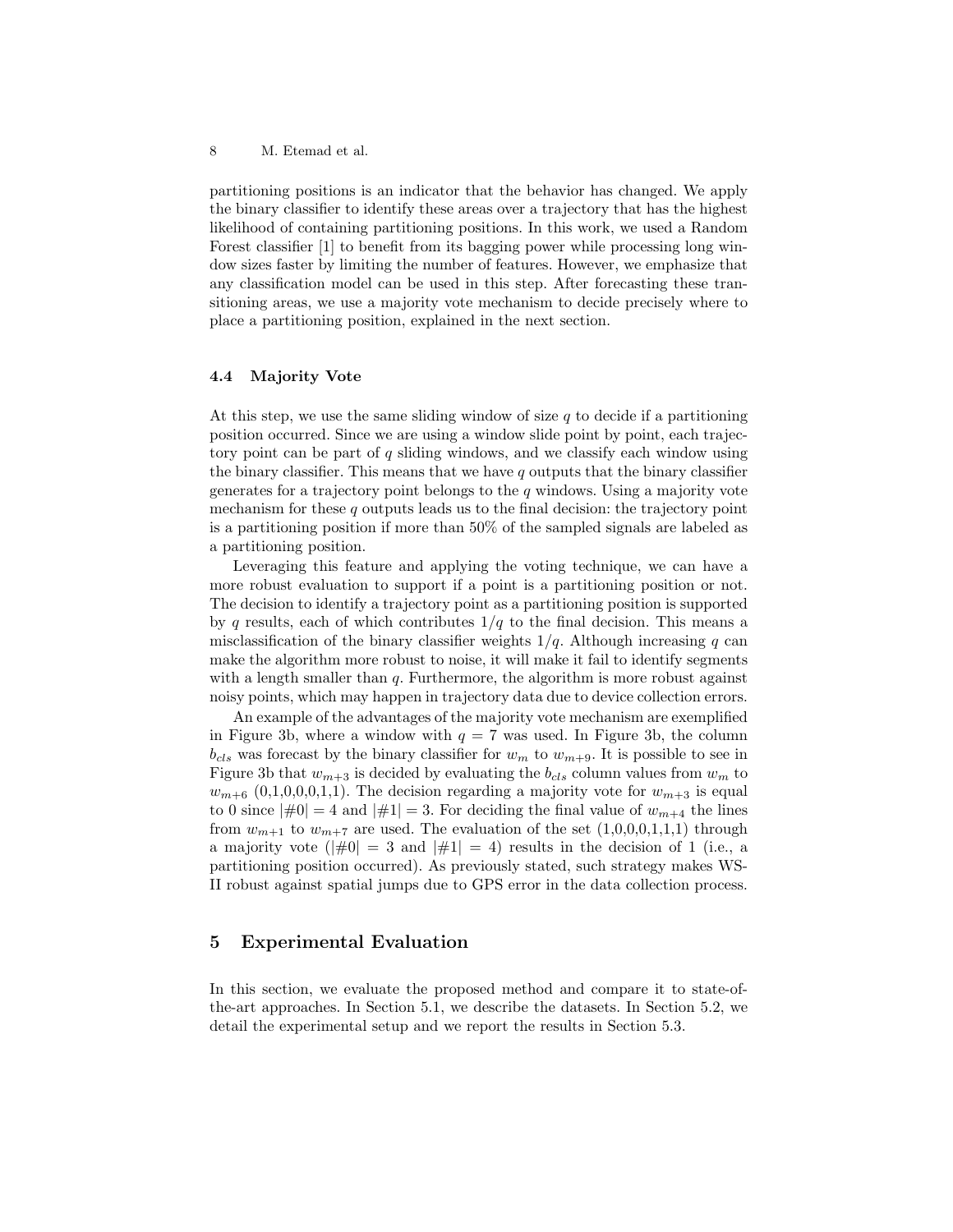partitioning positions is an indicator that the behavior has changed. We apply the binary classifier to identify these areas over a trajectory that has the highest likelihood of containing partitioning positions. In this work, we used a Random Forest classifier [1] to benefit from its bagging power while processing long window sizes faster by limiting the number of features. However, we emphasize that any classification model can be used in this step. After forecasting these transitioning areas, we use a majority vote mechanism to decide precisely where to place a partitioning position, explained in the next section.

## 4.4 Majority Vote

At this step, we use the same sliding window of size  $q$  to decide if a partitioning position occurred. Since we are using a window slide point by point, each trajectory point can be part of  $q$  sliding windows, and we classify each window using the binary classifier. This means that we have  $q$  outputs that the binary classifier generates for a trajectory point belongs to the  $q$  windows. Using a majority vote mechanism for these  $q$  outputs leads us to the final decision: the trajectory point is a partitioning position if more than 50% of the sampled signals are labeled as a partitioning position.

Leveraging this feature and applying the voting technique, we can have a more robust evaluation to support if a point is a partitioning position or not. The decision to identify a trajectory point as a partitioning position is supported by q results, each of which contributes  $1/q$  to the final decision. This means a misclassification of the binary classifier weights  $1/q$ . Although increasing q can make the algorithm more robust to noise, it will make it fail to identify segments with a length smaller than q. Furthermore, the algorithm is more robust against noisy points, which may happen in trajectory data due to device collection errors.

An example of the advantages of the majority vote mechanism are exemplified in Figure 3b, where a window with  $q = 7$  was used. In Figure 3b, the column  $b_{cls}$  was forecast by the binary classifier for  $w_m$  to  $w_{m+9}$ . It is possible to see in Figure 3b that  $w_{m+3}$  is decided by evaluating the  $b_{cls}$  column values from  $w_m$  to  $w_{m+6}$  (0,1,0,0,0,1,1). The decision regarding a majority vote for  $w_{m+3}$  is equal to 0 since  $|\#0| = 4$  and  $|\#1| = 3$ . For deciding the final value of  $w_{m+4}$  the lines from  $w_{m+1}$  to  $w_{m+7}$  are used. The evaluation of the set  $(1,0,0,0,1,1,1)$  through a majority vote  $(|\#0| = 3$  and  $|\#1| = 4$ ) results in the decision of 1 (i.e., a partitioning position occurred). As previously stated, such strategy makes WS-II robust against spatial jumps due to GPS error in the data collection process.

# 5 Experimental Evaluation

In this section, we evaluate the proposed method and compare it to state-ofthe-art approaches. In Section 5.1, we describe the datasets. In Section 5.2, we detail the experimental setup and we report the results in Section 5.3.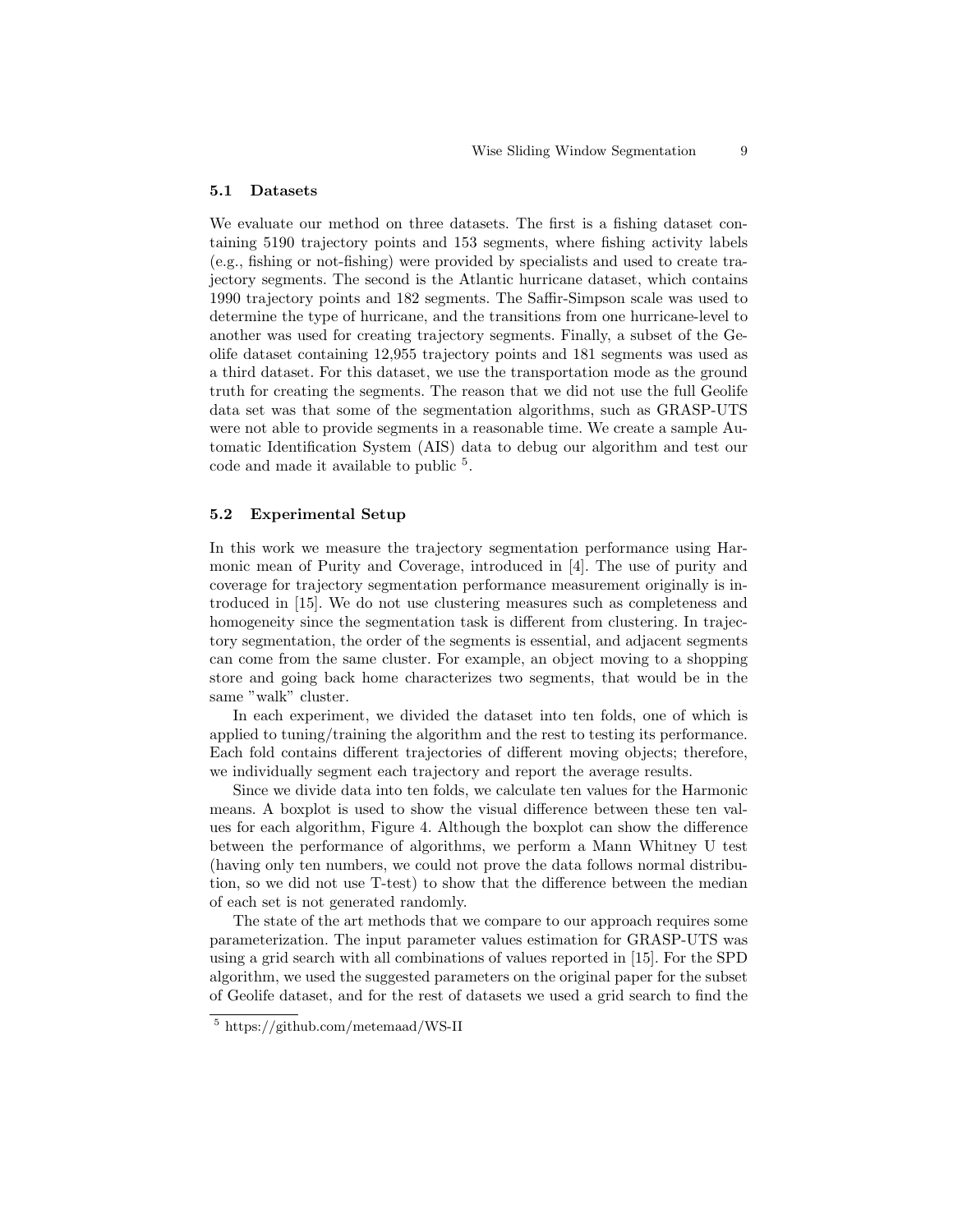#### 5.1 Datasets

We evaluate our method on three datasets. The first is a fishing dataset containing 5190 trajectory points and 153 segments, where fishing activity labels (e.g., fishing or not-fishing) were provided by specialists and used to create trajectory segments. The second is the Atlantic hurricane dataset, which contains 1990 trajectory points and 182 segments. The Saffir-Simpson scale was used to determine the type of hurricane, and the transitions from one hurricane-level to another was used for creating trajectory segments. Finally, a subset of the Geolife dataset containing 12,955 trajectory points and 181 segments was used as a third dataset. For this dataset, we use the transportation mode as the ground truth for creating the segments. The reason that we did not use the full Geolife data set was that some of the segmentation algorithms, such as GRASP-UTS were not able to provide segments in a reasonable time. We create a sample Automatic Identification System (AIS) data to debug our algorithm and test our code and made it available to public <sup>5</sup>.

## 5.2 Experimental Setup

In this work we measure the trajectory segmentation performance using Harmonic mean of Purity and Coverage, introduced in [4]. The use of purity and coverage for trajectory segmentation performance measurement originally is introduced in [15]. We do not use clustering measures such as completeness and homogeneity since the segmentation task is different from clustering. In trajectory segmentation, the order of the segments is essential, and adjacent segments can come from the same cluster. For example, an object moving to a shopping store and going back home characterizes two segments, that would be in the same "walk" cluster.

In each experiment, we divided the dataset into ten folds, one of which is applied to tuning/training the algorithm and the rest to testing its performance. Each fold contains different trajectories of different moving objects; therefore, we individually segment each trajectory and report the average results.

Since we divide data into ten folds, we calculate ten values for the Harmonic means. A boxplot is used to show the visual difference between these ten values for each algorithm, Figure 4. Although the boxplot can show the difference between the performance of algorithms, we perform a Mann Whitney U test (having only ten numbers, we could not prove the data follows normal distribution, so we did not use T-test) to show that the difference between the median of each set is not generated randomly.

The state of the art methods that we compare to our approach requires some parameterization. The input parameter values estimation for GRASP-UTS was using a grid search with all combinations of values reported in [15]. For the SPD algorithm, we used the suggested parameters on the original paper for the subset of Geolife dataset, and for the rest of datasets we used a grid search to find the

<sup>5</sup> https://github.com/metemaad/WS-II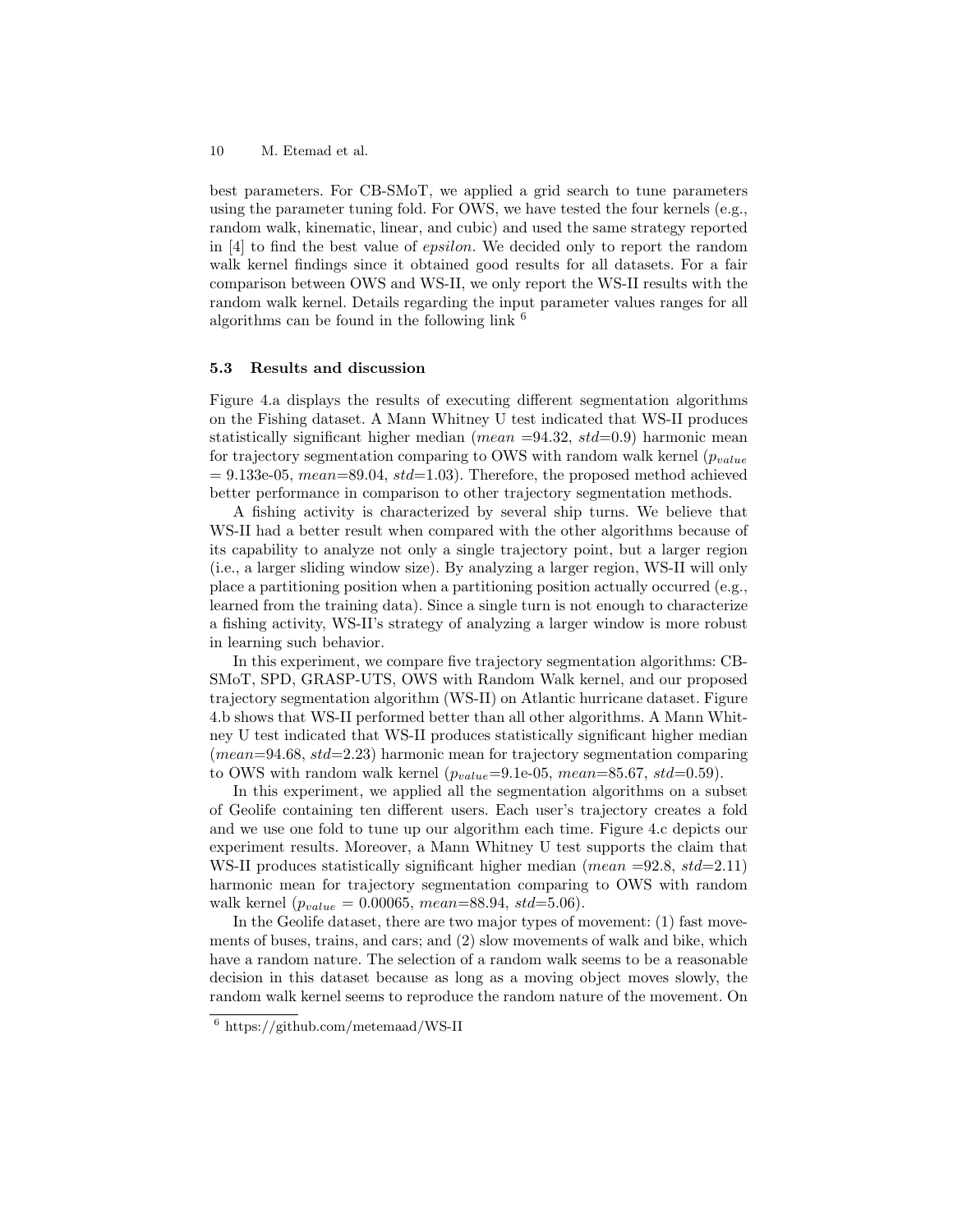best parameters. For CB-SMoT, we applied a grid search to tune parameters using the parameter tuning fold. For OWS, we have tested the four kernels (e.g., random walk, kinematic, linear, and cubic) and used the same strategy reported in [4] to find the best value of epsilon. We decided only to report the random walk kernel findings since it obtained good results for all datasets. For a fair comparison between OWS and WS-II, we only report the WS-II results with the random walk kernel. Details regarding the input parameter values ranges for all algorithms can be found in the following link  $<sup>6</sup>$ </sup>

### 5.3 Results and discussion

Figure 4.a displays the results of executing different segmentation algorithms on the Fishing dataset. A Mann Whitney U test indicated that WS-II produces statistically significant higher median (*mean*  $=94.32$ ,  $std=0.9$ ) harmonic mean for trajectory segmentation comparing to OWS with random walk kernel  $(p_{value}$  $= 9.133$ e-05, mean=89.04, std=1.03). Therefore, the proposed method achieved better performance in comparison to other trajectory segmentation methods.

A fishing activity is characterized by several ship turns. We believe that WS-II had a better result when compared with the other algorithms because of its capability to analyze not only a single trajectory point, but a larger region (i.e., a larger sliding window size). By analyzing a larger region, WS-II will only place a partitioning position when a partitioning position actually occurred (e.g., learned from the training data). Since a single turn is not enough to characterize a fishing activity, WS-II's strategy of analyzing a larger window is more robust in learning such behavior.

In this experiment, we compare five trajectory segmentation algorithms: CB-SMoT, SPD, GRASP-UTS, OWS with Random Walk kernel, and our proposed trajectory segmentation algorithm (WS-II) on Atlantic hurricane dataset. Figure 4.b shows that WS-II performed better than all other algorithms. A Mann Whitney U test indicated that WS-II produces statistically significant higher median  $(mean=94.68, std=2.23)$  harmonic mean for trajectory segmentation comparing to OWS with random walk kernel  $(p_{value}=9.1e-05, \, mean=85.67, \, std=0.59)$ .

In this experiment, we applied all the segmentation algorithms on a subset of Geolife containing ten different users. Each user's trajectory creates a fold and we use one fold to tune up our algorithm each time. Figure 4.c depicts our experiment results. Moreover, a Mann Whitney U test supports the claim that WS-II produces statistically significant higher median (*mean*  $=92.8$ ,  $std=2.11$ ) harmonic mean for trajectory segmentation comparing to OWS with random walk kernel ( $p_{value} = 0.00065$ ,  $mean = 88.94$ ,  $std = 5.06$ ).

In the Geolife dataset, there are two major types of movement: (1) fast movements of buses, trains, and cars; and (2) slow movements of walk and bike, which have a random nature. The selection of a random walk seems to be a reasonable decision in this dataset because as long as a moving object moves slowly, the random walk kernel seems to reproduce the random nature of the movement. On

<sup>6</sup> https://github.com/metemaad/WS-II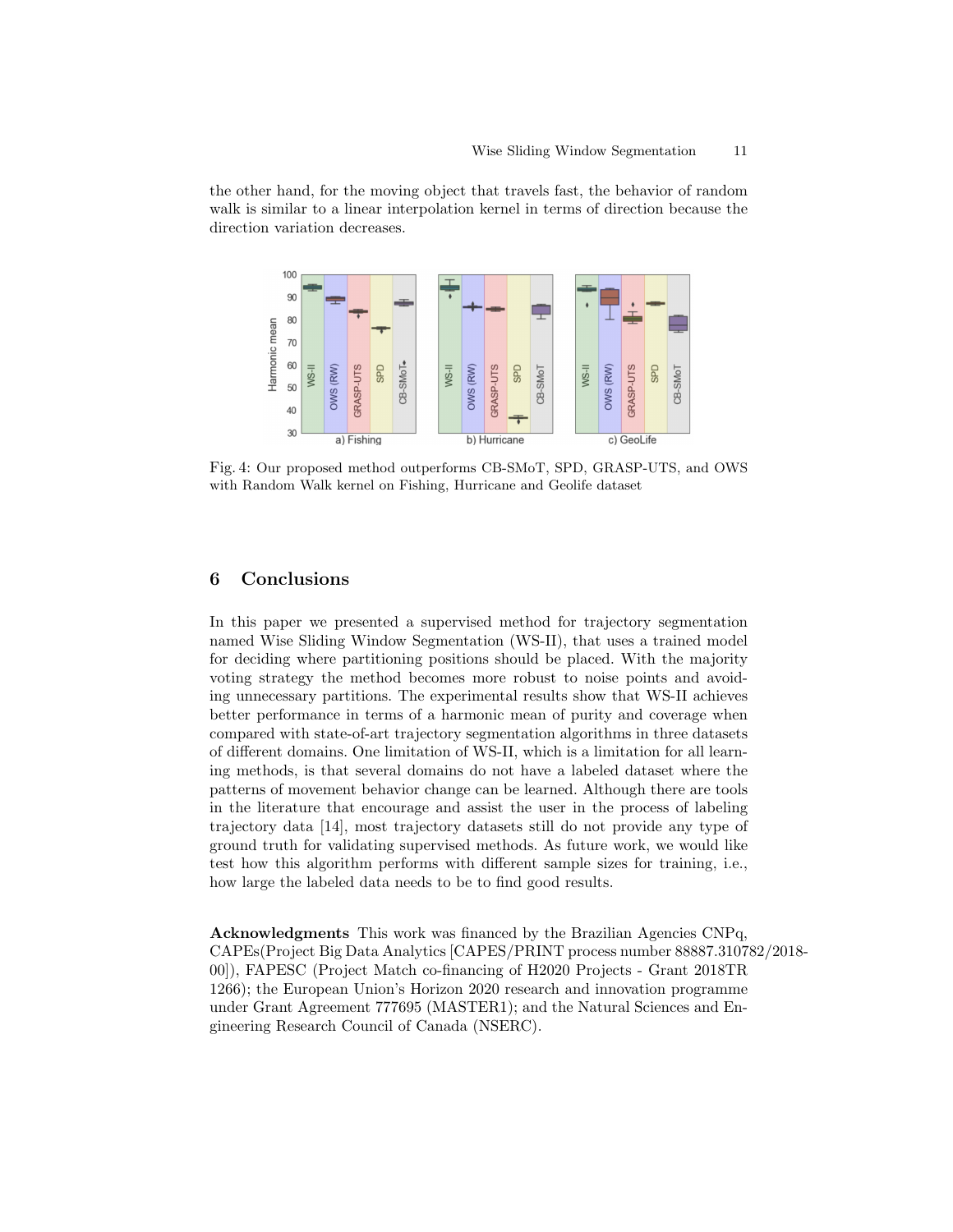the other hand, for the moving object that travels fast, the behavior of random walk is similar to a linear interpolation kernel in terms of direction because the direction variation decreases.



Fig. 4: Our proposed method outperforms CB-SMoT, SPD, GRASP-UTS, and OWS with Random Walk kernel on Fishing, Hurricane and Geolife dataset

## 6 Conclusions

In this paper we presented a supervised method for trajectory segmentation named Wise Sliding Window Segmentation (WS-II), that uses a trained model for deciding where partitioning positions should be placed. With the majority voting strategy the method becomes more robust to noise points and avoiding unnecessary partitions. The experimental results show that WS-II achieves better performance in terms of a harmonic mean of purity and coverage when compared with state-of-art trajectory segmentation algorithms in three datasets of different domains. One limitation of WS-II, which is a limitation for all learning methods, is that several domains do not have a labeled dataset where the patterns of movement behavior change can be learned. Although there are tools in the literature that encourage and assist the user in the process of labeling trajectory data [14], most trajectory datasets still do not provide any type of ground truth for validating supervised methods. As future work, we would like test how this algorithm performs with different sample sizes for training, i.e., how large the labeled data needs to be to find good results.

Acknowledgments This work was financed by the Brazilian Agencies CNPq, CAPEs(Project Big Data Analytics [CAPES/PRINT process number 88887.310782/2018- 00]), FAPESC (Project Match co-financing of H2020 Projects - Grant 2018TR 1266); the European Union's Horizon 2020 research and innovation programme under Grant Agreement 777695 (MASTER1); and the Natural Sciences and Engineering Research Council of Canada (NSERC).